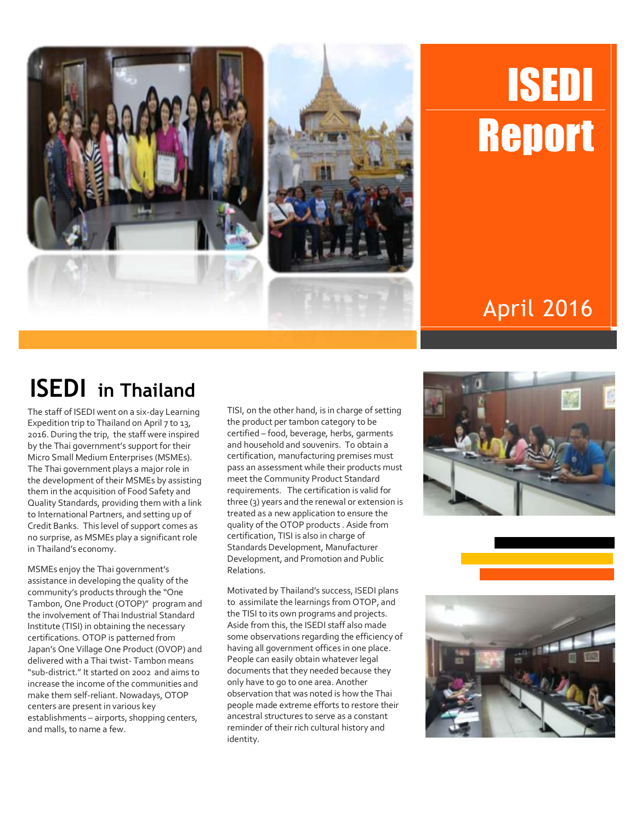

# ISEDI **Report**

### April 2016

## **ISEDI in Thailand**

The staff of ISEDI went on a six-day Learning Expedition trip to Thailand on April 7 to 13, 2016. During the trip, the staff were inspired by the Thai government's support for their Micro Small Medium Enterprises (MSMEs). The Thai government plays a major role in the development of their MSMEs by assisting them in the acquisition of Food Safety and Quality Standards, providing them with a link to International Partners, and setting up of Credit Banks. This level of support comes as no surprise, as MSMEs play a significant role in Thailand's economy.

MSMEs enjoy the Thai government's assistance in developing the quality of the community's products through the "One Tambon, One Product (OTOP)" program and the involvement of Thai Industrial Standard Institute (TISI) in obtaining the necessary certifications. OTOP is patterned from Japan's One Village One Product (OVOP) and delivered with a Thai twist- Tambon means "sub-district." It started on 2002 and aims to increase the income of the communities and make them self-reliant. Nowadays, OTOP centers are present in various key establishments – airports, shopping centers, and malls, to name a few.

TISI, on the other hand, is in charge of setting the product per tambon category to be certified – food, beverage, herbs, garments and household and souvenirs. To obtain a certification, manufacturing premises must pass an assessment while their products must meet the Community Product Standard requirements. The certification is valid for three (3) years and the renewal or extension is treated as a new application to ensure the quality of the OTOP products . Aside from certification, TISI is also in charge of Standards Development, Manufacturer Development, and Promotion and Public Relations.

Motivated by Thailand's success, ISEDI plans to assimilate the learnings from OTOP, and the TISI to its own programs and projects. Aside from this, the ISEDI staff also made some observations regarding the efficiency of having all government offices in one place. People can easily obtain whatever legal documents that they needed because they only have to go to one area. Another observation that was noted is how the Thai people made extreme efforts to restore their ancestral structures to serve as a constant reminder of their rich cultural history and identity.



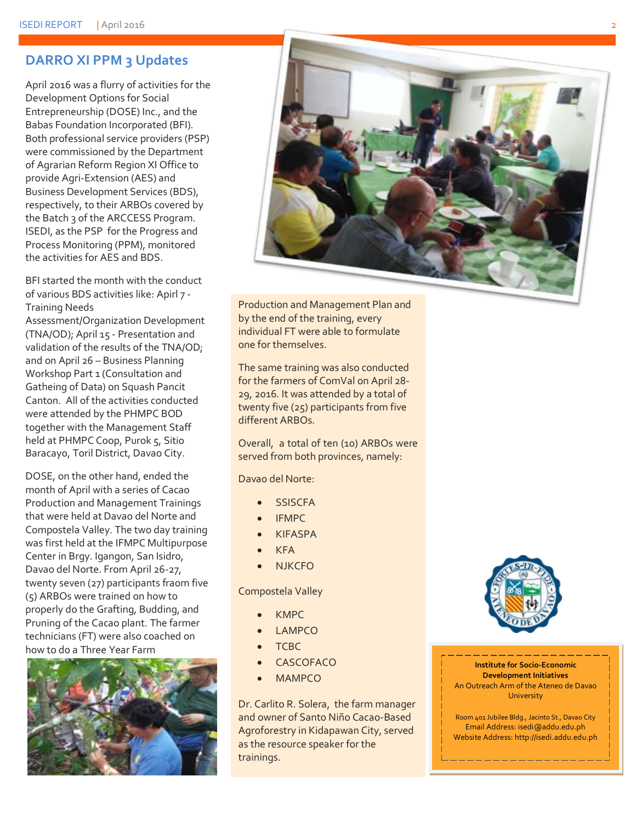#### **DARRO XI PPM 3 Updates**

April 2016 was a flurry of activities for the Development Options for Social Entrepreneurship (DOSE) Inc., and the Babas Foundation Incorporated (BFI). Both professional service providers (PSP) were commissioned by the Department of Agrarian Reform Region XI Office to provide Agri-Extension (AES) and Business Development Services (BDS), respectively, to their ARBOs covered by the Batch 3 of the ARCCESS Program. ISEDI, as the PSP for the Progress and Process Monitoring (PPM), monitored the activities for AES and BDS.

BFI started the month with the conduct of various BDS activities like: Apirl 7 - Training Needs

Assessment/Organization Development (TNA/OD); April 15 - Presentation and validation of the results of the TNA/OD; and on April 26 – Business Planning Workshop Part 1 (Consultation and Gatheing of Data) on Squash Pancit Canton. All of the activities conducted were attended by the PHMPC BOD together with the Management Staff held at PHMPC Coop, Purok 5, Sitio Baracayo, Toril District, Davao City.

DOSE, on the other hand, ended the month of April with a series of Cacao Production and Management Trainings that were held at Davao del Norte and Compostela Valley. The two day training was first held at the IFMPC Multipurpose Center in Brgy. Igangon, San Isidro, Davao del Norte. From April 26-27, twenty seven (27) participants fraom five (5) ARBOs were trained on how to properly do the Grafting, Budding, and Pruning of the Cacao plant. The farmer technicians (FT) were also coached on how to do a Three Year Farm





Production and Management Plan and by the end of the training, every individual FT were able to formulate one for themselves.

The same training was also conducted for the farmers of ComVal on April 28- 29, 2016. It was attended by a total of twenty five (25) participants from five different ARBOs.

Overall, a total of ten (10) ARBOs were served from both provinces, namely:

Davao del Norte:

- **SSISCFA**
- IFMPC
- KIFASPA
- KFA
- **NJKCFO**

Compostela Valley

- KMPC
- LAMPCO
- **TCBC**
- **CASCOFACO**
- MAMPCO

Dr. Carlito R. Solera, the farm manager and owner of Santo Niño Cacao-Based Agroforestry in Kidapawan City, served as the resource speaker for the trainings.



**Institute for Socio-Economic Development Initiatives** An Outreach Arm of the Ateneo de Davao **University** 

Room 401 Jubilee Bldg., Jacinto St., Davao City Email Address: isedi@addu.edu.ph Website Address: http://isedi.addu.edu.ph